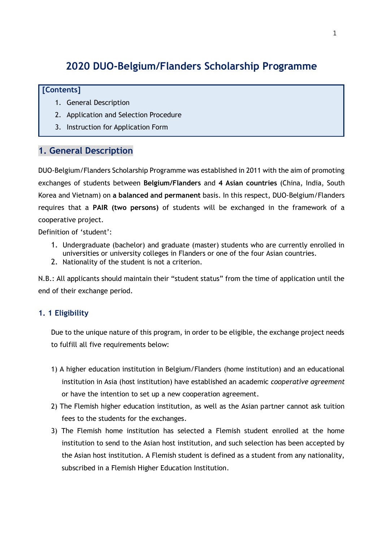# **2020 DUO-Belgium/Flanders Scholarship Programme**

### **[Contents]**

- 1. General Description
- 2. Application and Selection Procedure
- 3. Instruction for Application Form

# **1. General Description**

DUO-Belgium/Flanders Scholarship Programme was established in 2011 with the aim of promoting exchanges of students between **Belgium/Flanders** and **4 Asian countries** (China, India, South Korea and Vietnam) on **a balanced and permanent** basis. In this respect, DUO-Belgium/Flanders requires that a **PAIR (two persons)** of students will be exchanged in the framework of a cooperative project.

Definition of 'student':

- 1. Undergraduate (bachelor) and graduate (master) students who are currently enrolled in universities or university colleges in Flanders or one of the four Asian countries.
- 2. Nationality of the student is not a criterion.

N.B.: All applicants should maintain their "student status" from the time of application until the end of their exchange period.

# **1. 1 Eligibility**

Due to the unique nature of this program, in order to be eligible, the exchange project needs to fulfill all five requirements below:

- 1) A higher education institution in Belgium/Flanders (home institution) and an educational institution in Asia (host institution) have established an academic *cooperative agreement* or have the intention to set up a new cooperation agreement.
- 2) The Flemish higher education institution, as well as the Asian partner cannot ask tuition fees to the students for the exchanges.
- 3) The Flemish home institution has selected a Flemish student enrolled at the home institution to send to the Asian host institution, and such selection has been accepted by the Asian host institution. A Flemish student is defined as a student from any nationality, subscribed in a Flemish Higher Education Institution.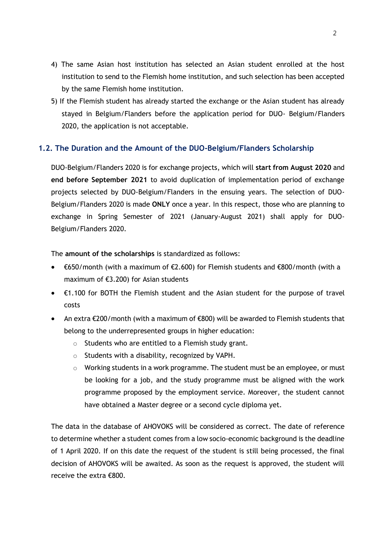- 4) The same Asian host institution has selected an Asian student enrolled at the host institution to send to the Flemish home institution, and such selection has been accepted by the same Flemish home institution.
- 5) If the Flemish student has already started the exchange or the Asian student has already stayed in Belgium/Flanders before the application period for DUO- Belgium/Flanders 2020, the application is not acceptable.

### **1.2. The Duration and the Amount of the DUO-Belgium/Flanders Scholarship**

DUO-Belgium/Flanders 2020 is for exchange projects, which will **start from August 2020** and **end before September 2021** to avoid duplication of implementation period of exchange projects selected by DUO-Belgium/Flanders in the ensuing years. The selection of DUO-Belgium/Flanders 2020 is made **ONLY** once a year. In this respect, those who are planning to exchange in Spring Semester of 2021 (January-August 2021) shall apply for DUO-Belgium/Flanders 2020.

The **amount of the scholarships** is standardized as follows:

- €650/month (with a maximum of €2.600) for Flemish students and €800/month (with a maximum of €3.200) for Asian students
- $\epsilon$ 1.100 for BOTH the Flemish student and the Asian student for the purpose of travel costs
- An extra €200/month (with a maximum of €800) will be awarded to Flemish students that belong to the underrepresented groups in higher education:
	- o Students who are entitled to a Flemish study grant.
	- o Students with a disability, recognized by VAPH.
	- $\circ$  Working students in a work programme. The student must be an employee, or must be looking for a job, and the study programme must be aligned with the work programme proposed by the employment service. Moreover, the student cannot have obtained a Master degree or a second cycle diploma yet.

The data in the database of AHOVOKS will be considered as correct. The date of reference to determine whether a student comes from a low socio-economic background is the deadline of 1 April 2020. If on this date the request of the student is still being processed, the final decision of AHOVOKS will be awaited. As soon as the request is approved, the student will receive the extra €800.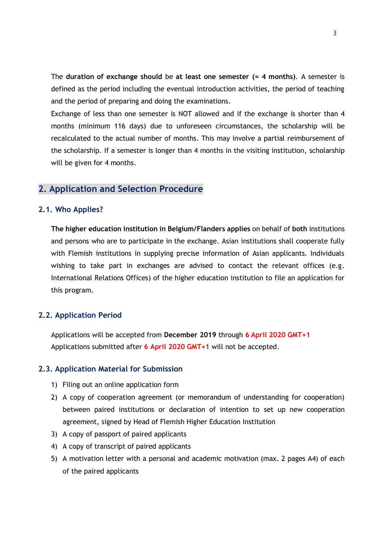The **duration of exchange should** be **at least one semester (= 4 months)**. A semester is defined as the period including the eventual introduction activities, the period of teaching and the period of preparing and doing the examinations.

Exchange of less than one semester is NOT allowed and if the exchange is shorter than 4 months (minimum 116 days) due to unforeseen circumstances, the scholarship will be recalculated to the actual number of months. This may involve a partial reimbursement of the scholarship. If a semester is longer than 4 months in the visiting institution, scholarship will be given for 4 months.

### **2. Application and Selection Procedure**

### **2.1. Who Applies?**

**The higher education institution in Belgium/Flanders applies** on behalf of **both** institutions and persons who are to participate in the exchange. Asian institutions shall cooperate fully with Flemish institutions in supplying precise information of Asian applicants. Individuals wishing to take part in exchanges are advised to contact the relevant offices (e.g. International Relations Offices) of the higher education institution to file an application for this program.

### **2.2. Application Period**

Applications will be accepted from **December 2019** through **6 April 2020 GMT+1** Applications submitted after **6 April 2020 GMT+1** will not be accepted.

### **2.3. Application Material for Submission**

- 1) Filing out an online application form
- 2) A copy of cooperation agreement (or memorandum of understanding for cooperation) between paired institutions or declaration of intention to set up new cooperation agreement, signed by Head of Flemish Higher Education Institution
- 3) A copy of passport of paired applicants
- 4) A copy of transcript of paired applicants
- 5) A motivation letter with a personal and academic motivation (max. 2 pages A4) of each of the paired applicants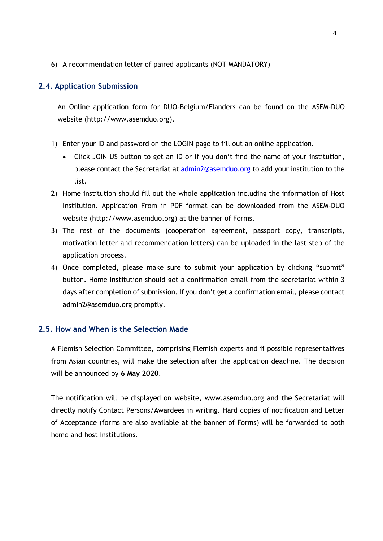6) A recommendation letter of paired applicants (NOT MANDATORY)

### **2.4. Application Submission**

An Online application form for DUO-Belgium/Flanders can be found on the ASEM-DUO website [\(http://www.asemduo.org\)](http://www.asemduo.org/).

- 1) Enter your ID and password on the LOGIN page to fill out an online application.
	- Click JOIN US button to get an ID or if you don't find the name of your institution, please contact the Secretariat at [admin2@asemduo.org](mailto:admin2@asemduo.org) to add your institution to the list.
- 2) Home institution should fill out the whole application including the information of Host Institution. Application From in PDF format can be downloaded from the ASEM-DUO website [\(http://www.asemduo.org\)](http://www.asemduo.org/) at the banner of Forms.
- 3) The rest of the documents (cooperation agreement, passport copy, transcripts, motivation letter and recommendation letters) can be uploaded in the last step of the application process.
- 4) Once completed, please make sure to submit your application by clicking "submit" button. Home Institution should get a confirmation email from the secretariat within 3 days after completion of submission. If you don't get a confirmation email, please contact [admin2@asemduo.org](mailto:admin2@asemduo.org) promptly.

### **2.5. How and When is the Selection Made**

A Flemish Selection Committee, comprising Flemish experts and if possible representatives from Asian countries, will make the selection after the application deadline. The decision will be announced by **6 May 2020**.

The notification will be displayed on website, [www.asemduo.org](http://www.asemduo.org/) and the Secretariat will directly notify Contact Persons/Awardees in writing. Hard copies of notification and Letter of Acceptance (forms are also available at [the](http://www.asemduo.org/) banner of Forms) will be forwarded to both home and host institutions.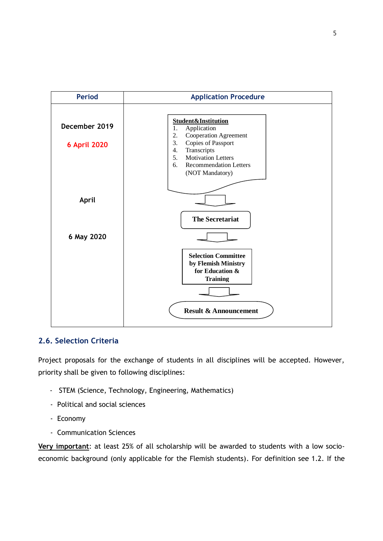

# **2.6. Selection Criteria**

Project proposals for the exchange of students in all disciplines will be accepted. However, priority shall be given to following disciplines:

- STEM (Science, Technology, Engineering, Mathematics)
- Political and social sciences
- Economy
- Communication Sciences

**Very important**: at least 25% of all scholarship will be awarded to students with a low socioeconomic background (only applicable for the Flemish students). For definition see 1.2. If the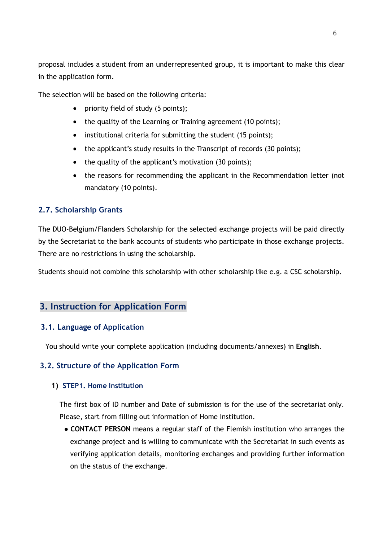proposal includes a student from an underrepresented group, it is important to make this clear in the application form.

The selection will be based on the following criteria:

- priority field of study (5 points);
- the quality of the Learning or Training agreement (10 points);
- institutional criteria for submitting the student (15 points);
- the applicant's study results in the Transcript of records (30 points);
- the quality of the applicant's motivation (30 points);
- the reasons for recommending the applicant in the Recommendation letter (not mandatory (10 points).

# **2.7. Scholarship Grants**

The DUO-Belgium/Flanders Scholarship for the selected exchange projects will be paid directly by the Secretariat to the bank accounts of students who participate in those exchange projects. There are no restrictions in using the scholarship.

Students should not combine this scholarship with other scholarship like e.g. a CSC scholarship.

# **3. Instruction for Application Form**

# **3.1. Language of Application**

You should write your complete application (including documents/annexes) in **English**.

# **3.2. Structure of the Application Form**

### **1) STEP1. Home Institution**

The first box of ID number and Date of submission is for the use of the secretariat only. Please, start from filling out information of Home Institution.

● **CONTACT PERSON** means a regular staff of the Flemish institution who arranges the exchange project and is willing to communicate with the Secretariat in such events as verifying application details, monitoring exchanges and providing further information on the status of the exchange.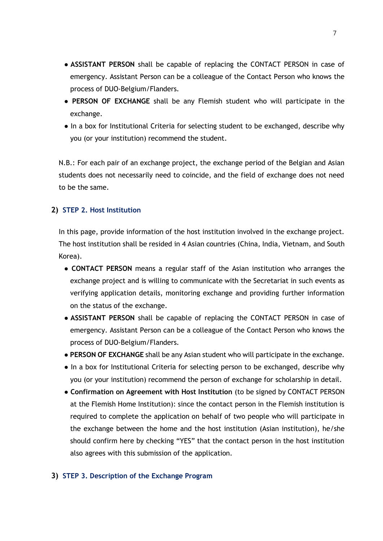- **ASSISTANT PERSON** shall be capable of replacing the CONTACT PERSON in case of emergency. Assistant Person can be a colleague of the Contact Person who knows the process of DUO-Belgium/Flanders.
- **PERSON OF EXCHANGE** shall be any Flemish student who will participate in the exchange.
- In a box for Institutional Criteria for selecting student to be exchanged, describe why you (or your institution) recommend the student.

N.B.: For each pair of an exchange project, the exchange period of the Belgian and Asian students does not necessarily need to coincide, and the field of exchange does not need to be the same.

### **2) STEP 2. Host Institution**

In this page, provide information of the host institution involved in the exchange project. The host institution shall be resided in 4 Asian countries (China, India, Vietnam, and South Korea).

- **CONTACT PERSON** means a regular staff of the Asian institution who arranges the exchange project and is willing to communicate with the Secretariat in such events as verifying application details, monitoring exchange and providing further information on the status of the exchange.
- **ASSISTANT PERSON** shall be capable of replacing the CONTACT PERSON in case of emergency. Assistant Person can be a colleague of the Contact Person who knows the process of DUO-Belgium/Flanders.
- **PERSON OF EXCHANGE** shall be any Asian student who will participate in the exchange.
- In a box for Institutional Criteria for selecting person to be exchanged, describe why you (or your institution) recommend the person of exchange for scholarship in detail.
- **Confirmation on Agreement with Host Institution** (to be signed by CONTACT PERSON at the Flemish Home Institution): since the contact person in the Flemish institution is required to complete the application on behalf of two people who will participate in the exchange between the home and the host institution (Asian institution), he/she should confirm here by checking "YES" that the contact person in the host institution also agrees with this submission of the application.

### **3) STEP 3. Description of the Exchange Program**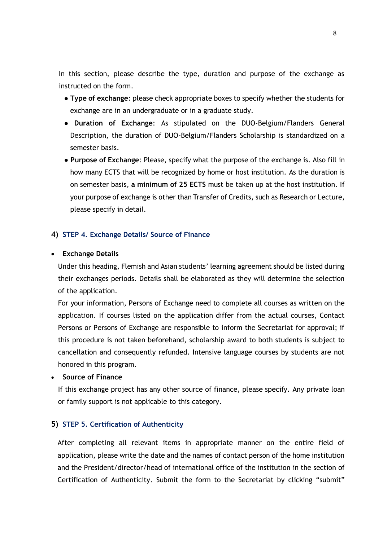In this section, please describe the type, duration and purpose of the exchange as instructed on the form.

- **Type of exchange**: please check appropriate boxes to specify whether the students for exchange are in an undergraduate or in a graduate study.
- **Duration of Exchange**: As stipulated on the DUO-Belgium/Flanders General Description, the duration of DUO-Belgium/Flanders Scholarship is standardized on a semester basis.
- **Purpose of Exchange**: Please, specify what the purpose of the exchange is. Also fill in how many ECTS that will be recognized by home or host institution. As the duration is on semester basis, **a minimum of 25 ECTS** must be taken up at the host institution. If your purpose of exchange is other than Transfer of Credits, such as Research or Lecture, please specify in detail.

### **4) STEP 4. Exchange Details/ Source of Finance**

#### **Exchange Details**

Under this heading, Flemish and Asian students' learning agreement should be listed during their exchanges periods. Details shall be elaborated as they will determine the selection of the application.

For your information, Persons of Exchange need to complete all courses as written on the application. If courses listed on the application differ from the actual courses, Contact Persons or Persons of Exchange are responsible to inform the Secretariat for approval; if this procedure is not taken beforehand, scholarship award to both students is subject to cancellation and consequently refunded. Intensive language courses by students are not honored in this program.

#### **Source of Finance**

If this exchange project has any other source of finance, please specify. Any private loan or family support is not applicable to this category.

#### **5) STEP 5. Certification of Authenticity**

After completing all relevant items in appropriate manner on the entire field of application, please write the date and the names of contact person of the home institution and the President/director/head of international office of the institution in the section of Certification of Authenticity. Submit the form to the Secretariat by clicking "submit"